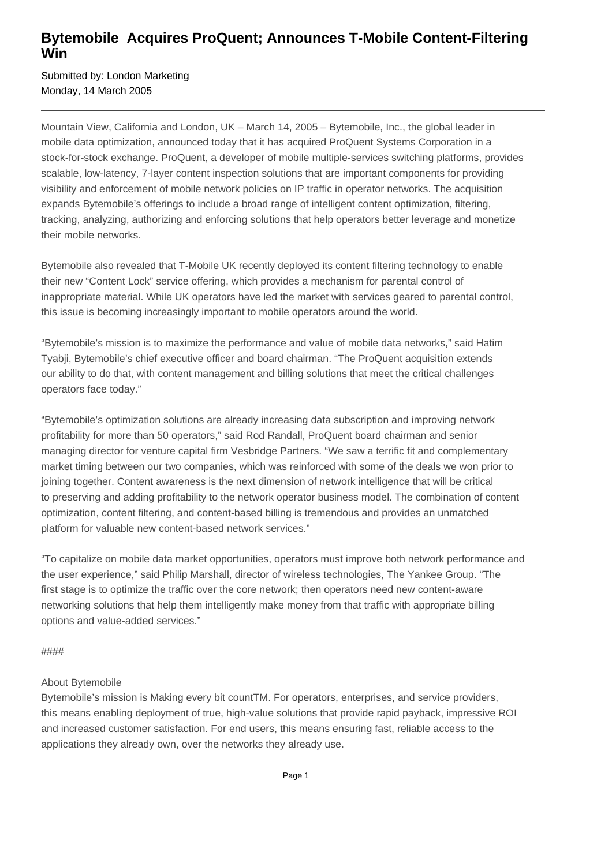## **Bytemobile Acquires ProQuent; Announces T-Mobile Content-Filtering Win**

Submitted by: London Marketing Monday, 14 March 2005

Mountain View, California and London, UK – March 14, 2005 – Bytemobile, Inc., the global leader in mobile data optimization, announced today that it has acquired ProQuent Systems Corporation in a stock-for-stock exchange. ProQuent, a developer of mobile multiple-services switching platforms, provides scalable, low-latency, 7-layer content inspection solutions that are important components for providing visibility and enforcement of mobile network policies on IP traffic in operator networks. The acquisition expands Bytemobile's offerings to include a broad range of intelligent content optimization, filtering, tracking, analyzing, authorizing and enforcing solutions that help operators better leverage and monetize their mobile networks.

Bytemobile also revealed that T-Mobile UK recently deployed its content filtering technology to enable their new "Content Lock" service offering, which provides a mechanism for parental control of inappropriate material. While UK operators have led the market with services geared to parental control, this issue is becoming increasingly important to mobile operators around the world.

"Bytemobile's mission is to maximize the performance and value of mobile data networks," said Hatim Tyabji, Bytemobile's chief executive officer and board chairman. "The ProQuent acquisition extends our ability to do that, with content management and billing solutions that meet the critical challenges operators face today."

"Bytemobile's optimization solutions are already increasing data subscription and improving network profitability for more than 50 operators," said Rod Randall, ProQuent board chairman and senior managing director for venture capital firm Vesbridge Partners. "We saw a terrific fit and complementary market timing between our two companies, which was reinforced with some of the deals we won prior to joining together. Content awareness is the next dimension of network intelligence that will be critical to preserving and adding profitability to the network operator business model. The combination of content optimization, content filtering, and content-based billing is tremendous and provides an unmatched platform for valuable new content-based network services."

"To capitalize on mobile data market opportunities, operators must improve both network performance and the user experience," said Philip Marshall, director of wireless technologies, The Yankee Group. "The first stage is to optimize the traffic over the core network; then operators need new content-aware networking solutions that help them intelligently make money from that traffic with appropriate billing options and value-added services."

####

## About Bytemobile

Bytemobile's mission is Making every bit countTM. For operators, enterprises, and service providers, this means enabling deployment of true, high-value solutions that provide rapid payback, impressive ROI and increased customer satisfaction. For end users, this means ensuring fast, reliable access to the applications they already own, over the networks they already use.